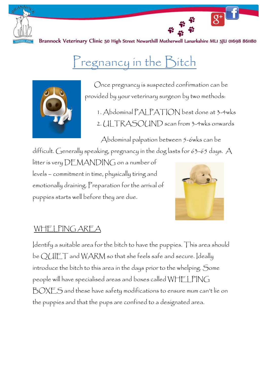

Brannock Veterinary Clinic 50 High Street Newarthill Motherwell Lanarkshire MLI 5JU 01698 861180

# Pregnancy in the Bitch



 Once pregnancy is suspected confirmation can be provided by your veterinary surgeon by two methods:

1. Abdominal PALPATION best done at 3-4wks 2. ULTRASOUND scan from 3-4wks onwards

Abdominal palpation between 5-6wks can be

difficult. Generally speaking, pregnancy in the dog lasts for 63-65 days. A litter is very DEMANDING on a number of levels – commitment in time, physically tiring and emotionally draining. Preparation for the arrival of puppies starts well before they are due.



 $\overline{g^+}$ 

## WHELPING AREA

Identify a suitable area for the bitch to have the puppies. This area should be QUIET and WARM so that she feels safe and secure. Ideally introduce the bitch to this area in the days prior to the whelping. Some people will have specialised areas and boxes called WHELPING BOXES and these have safety modifications to ensure mum can't lie on the puppies and that the pups are confined to a designated area.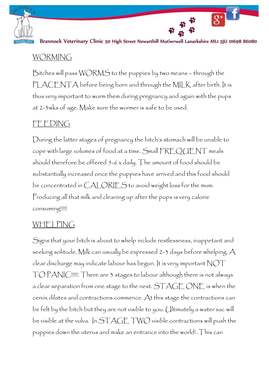

Brannock Veterinary Clinic 50 High Street Newarthill Motherwell Lanarkshire MLI 5JU 01698 861180

 $\overline{g^+}$ 

#### WORMING

Bitches will pass WORMS to the puppies by two means – through the PLACENTA before being born and through the MILK after birth. It is thus very important to worm them during pregnancy and again with the pups at 2-3wks of age. Make sure the wormer is safe to be used.

### FEEDING

During the latter stages of pregnancy the bitch's stomach will be unable to cope with large volumes of food at a time. Small FREQUENT meals should therefore be offered 5-6 x daily. The amount of food should be substantially increased once the puppies have arrived and this food should be concentrated in CALORIES to avoid weight loss for the mum. Producing all that milk and cleaning up after the pups is very calorie consuming!!!!!

#### WHELPING

Signs that your bitch is about to whelp include restlessness, inappetant and seeking solitude. Milk can usually be expressed 2-3 days before whelping. A clear discharge may indicate labour has begun. It is very important  $\mathsf{NOT}$ TO PANIC!!!!!. There are 3 stages to labour although there is not always a clear separation from one stage to the next. STAGE ONE is when the cervix dilates and contractions commence. At this stage the contractions can be felt by the bitch but they are not visible to you. Ultimately a water sac will be visible at the vulva. In STAGE TWO visible contractions will push the puppies down the uterus and make an entrance into the world! .This can